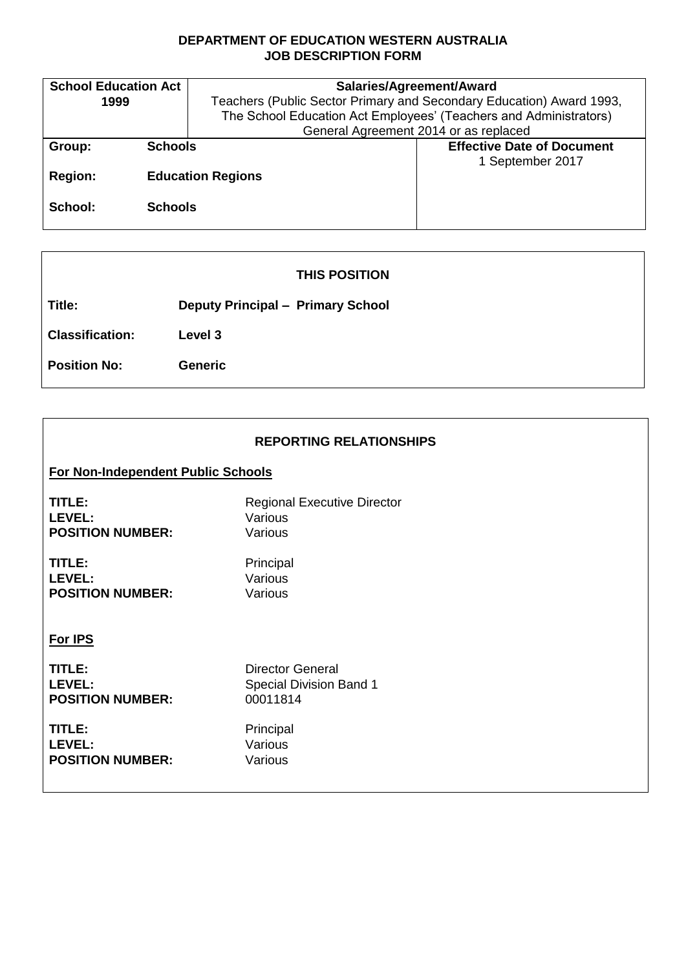### **DEPARTMENT OF EDUCATION WESTERN AUSTRALIA JOB DESCRIPTION FORM**

| <b>School Education Act</b> | Salaries/Agreement/Award                                             |                                   |  |
|-----------------------------|----------------------------------------------------------------------|-----------------------------------|--|
| 1999                        | Teachers (Public Sector Primary and Secondary Education) Award 1993, |                                   |  |
|                             | The School Education Act Employees' (Teachers and Administrators)    |                                   |  |
|                             | General Agreement 2014 or as replaced                                |                                   |  |
| <b>Schools</b><br>Group:    |                                                                      | <b>Effective Date of Document</b> |  |
|                             |                                                                      | 1 September 2017                  |  |
| <b>Region:</b>              | <b>Education Regions</b>                                             |                                   |  |
|                             |                                                                      |                                   |  |
| School:<br><b>Schools</b>   |                                                                      |                                   |  |
|                             |                                                                      |                                   |  |

# **THIS POSITION**

**Title: Deputy Principal – Primary School**

**Classification: Level 3**

**Position No: Generic**

| <b>REPORTING RELATIONSHIPS</b>     |                                    |  |  |  |
|------------------------------------|------------------------------------|--|--|--|
| For Non-Independent Public Schools |                                    |  |  |  |
| TITLE:                             | <b>Regional Executive Director</b> |  |  |  |
| LEVEL:                             | Various                            |  |  |  |
| <b>POSITION NUMBER:</b>            | Various                            |  |  |  |
| TITLE:                             | Principal                          |  |  |  |
| LEVEL:                             | Various                            |  |  |  |
| <b>POSITION NUMBER:</b>            | Various                            |  |  |  |
| For IPS                            |                                    |  |  |  |
| TITLE:                             | <b>Director General</b>            |  |  |  |
| LEVEL:                             | <b>Special Division Band 1</b>     |  |  |  |
| <b>POSITION NUMBER:</b>            | 00011814                           |  |  |  |
| TITLE:                             | Principal                          |  |  |  |
| LEVEL:                             | Various                            |  |  |  |
| <b>POSITION NUMBER:</b>            | Various                            |  |  |  |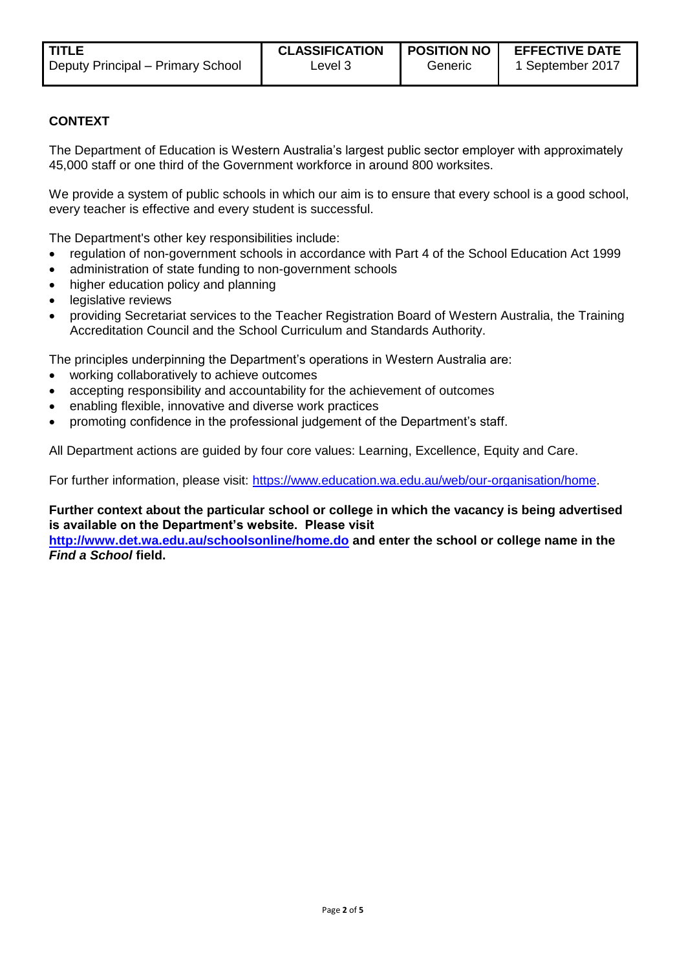Generic

# **CONTEXT**

The Department of Education is Western Australia's largest public sector employer with approximately 45,000 staff or one third of the Government workforce in around 800 worksites.

We provide a system of public schools in which our aim is to ensure that every school is a good school, every teacher is effective and every student is successful.

The Department's other key responsibilities include:

- regulation of non-government schools in accordance with Part 4 of the School Education Act 1999
- administration of state funding to non-government schools
- higher education policy and planning
- legislative reviews
- providing Secretariat services to the Teacher Registration Board of Western Australia, the Training Accreditation Council and the School Curriculum and Standards Authority.

The principles underpinning the Department's operations in Western Australia are:

- working collaboratively to achieve outcomes
- accepting responsibility and accountability for the achievement of outcomes
- enabling flexible, innovative and diverse work practices
- promoting confidence in the professional judgement of the Department's staff.

All Department actions are guided by four core values: Learning, Excellence, Equity and Care.

For further information, please visit: [https://www.education.wa.edu.au/web/our-organisation/home.](https://www.education.wa.edu.au/web/our-organisation/home)

#### **Further context about the particular school or college in which the vacancy is being advertised is available on the Department's website. Please visit**

**<http://www.det.wa.edu.au/schoolsonline/home.do> and enter the school or college name in the**  *Find a School* **field.**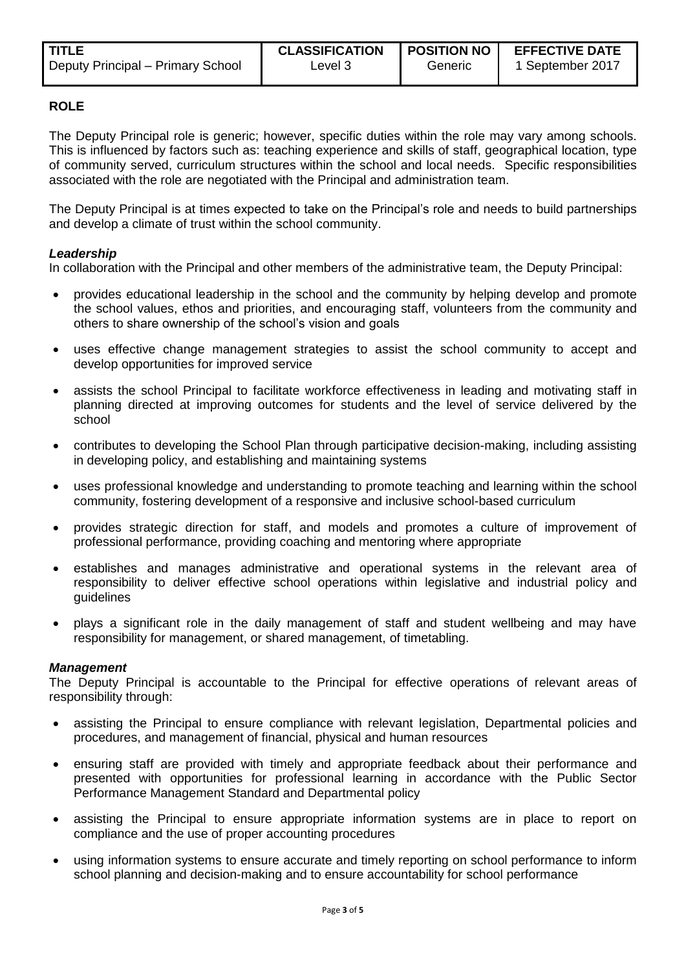#### **ROLE**

The Deputy Principal role is generic; however, specific duties within the role may vary among schools. This is influenced by factors such as: teaching experience and skills of staff, geographical location, type of community served, curriculum structures within the school and local needs. Specific responsibilities associated with the role are negotiated with the Principal and administration team.

The Deputy Principal is at times expected to take on the Principal's role and needs to build partnerships and develop a climate of trust within the school community.

#### *Leadership*

In collaboration with the Principal and other members of the administrative team, the Deputy Principal:

- provides educational leadership in the school and the community by helping develop and promote the school values, ethos and priorities, and encouraging staff, volunteers from the community and others to share ownership of the school's vision and goals
- uses effective change management strategies to assist the school community to accept and develop opportunities for improved service
- assists the school Principal to facilitate workforce effectiveness in leading and motivating staff in planning directed at improving outcomes for students and the level of service delivered by the school
- contributes to developing the School Plan through participative decision-making, including assisting in developing policy, and establishing and maintaining systems
- uses professional knowledge and understanding to promote teaching and learning within the school community, fostering development of a responsive and inclusive school-based curriculum
- provides strategic direction for staff, and models and promotes a culture of improvement of professional performance, providing coaching and mentoring where appropriate
- establishes and manages administrative and operational systems in the relevant area of responsibility to deliver effective school operations within legislative and industrial policy and guidelines
- plays a significant role in the daily management of staff and student wellbeing and may have responsibility for management, or shared management, of timetabling.

#### *Management*

The Deputy Principal is accountable to the Principal for effective operations of relevant areas of responsibility through:

- assisting the Principal to ensure compliance with relevant legislation, Departmental policies and procedures, and management of financial, physical and human resources
- ensuring staff are provided with timely and appropriate feedback about their performance and presented with opportunities for professional learning in accordance with the Public Sector Performance Management Standard and Departmental policy
- assisting the Principal to ensure appropriate information systems are in place to report on compliance and the use of proper accounting procedures
- using information systems to ensure accurate and timely reporting on school performance to inform school planning and decision-making and to ensure accountability for school performance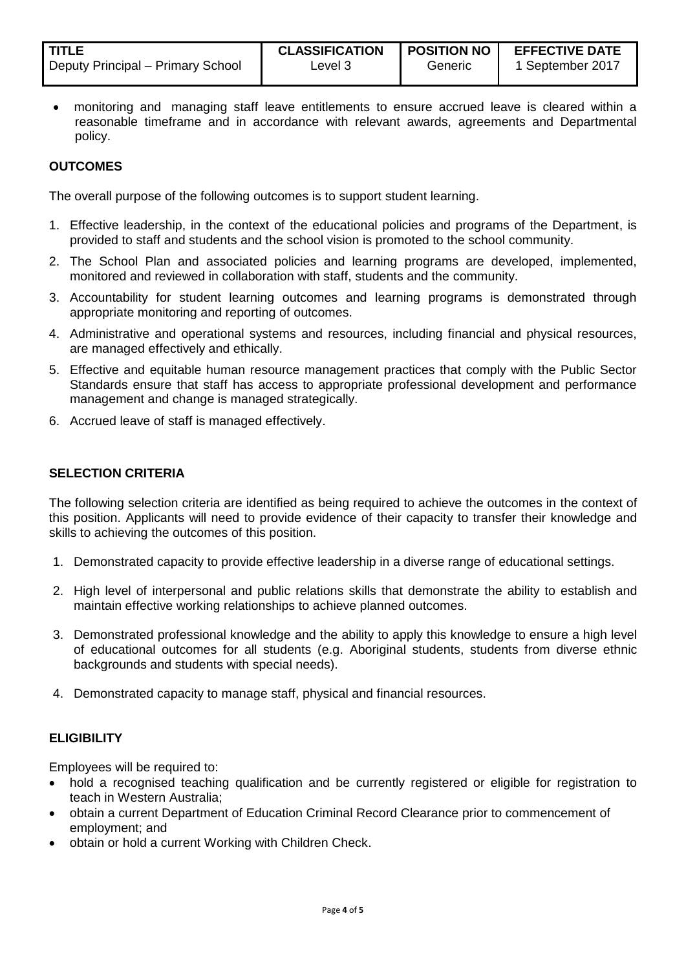| <b>TITLE</b>                      | <b>CLASSIFICATION</b> | <b>POSITION NO</b> | <b>EFFECTIVE DATE</b> |
|-----------------------------------|-----------------------|--------------------|-----------------------|
| Deputy Principal – Primary School | Level 3               | Generic            | 1 September 2017      |

 monitoring and managing staff leave entitlements to ensure accrued leave is cleared within a reasonable timeframe and in accordance with relevant awards, agreements and Departmental policy.

# **OUTCOMES**

The overall purpose of the following outcomes is to support student learning.

- 1. Effective leadership, in the context of the educational policies and programs of the Department, is provided to staff and students and the school vision is promoted to the school community.
- 2. The School Plan and associated policies and learning programs are developed, implemented, monitored and reviewed in collaboration with staff, students and the community.
- 3. Accountability for student learning outcomes and learning programs is demonstrated through appropriate monitoring and reporting of outcomes.
- 4. Administrative and operational systems and resources, including financial and physical resources, are managed effectively and ethically.
- 5. Effective and equitable human resource management practices that comply with the Public Sector Standards ensure that staff has access to appropriate professional development and performance management and change is managed strategically.
- 6. Accrued leave of staff is managed effectively.

#### **SELECTION CRITERIA**

The following selection criteria are identified as being required to achieve the outcomes in the context of this position. Applicants will need to provide evidence of their capacity to transfer their knowledge and skills to achieving the outcomes of this position.

- 1. Demonstrated capacity to provide effective leadership in a diverse range of educational settings.
- 2. High level of interpersonal and public relations skills that demonstrate the ability to establish and maintain effective working relationships to achieve planned outcomes.
- 3. Demonstrated professional knowledge and the ability to apply this knowledge to ensure a high level of educational outcomes for all students (e.g. Aboriginal students, students from diverse ethnic backgrounds and students with special needs).
- 4. Demonstrated capacity to manage staff, physical and financial resources.

# **ELIGIBILITY**

Employees will be required to:

- hold a recognised teaching qualification and be currently registered or eligible for registration to teach in Western Australia;
- obtain a current Department of Education Criminal Record Clearance prior to commencement of employment; and
- obtain or hold a current Working with Children Check.